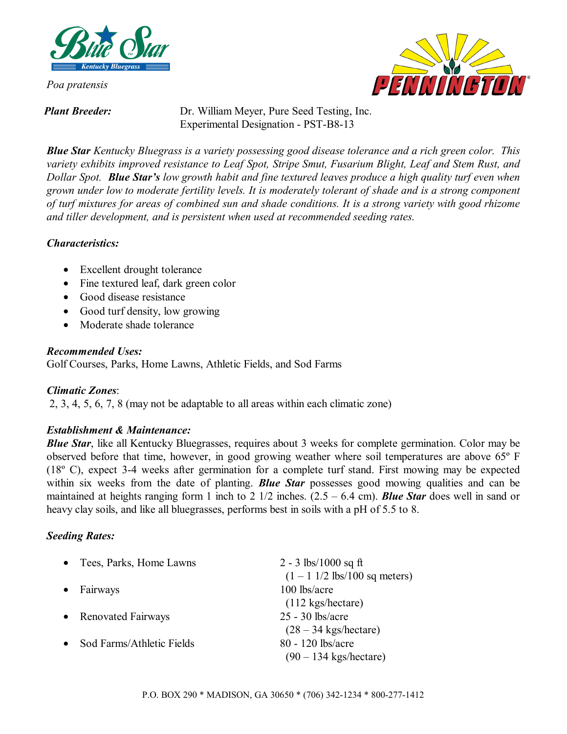

*Poa pratensis* 

PENMING1

*Plant Breeder:* Dr. William Meyer, Pure Seed Testing, Inc. Experimental Designation - PST-B8-13

*Blue Star Kentucky Bluegrass is a variety possessing good disease tolerance and a rich green color. This variety exhibits improved resistance to Leaf Spot, Stripe Smut, Fusarium Blight, Leaf and Stem Rust, and Dollar Spot. Blue Star's low growth habit and fine textured leaves produce a high quality turf even when grown under low to moderate fertility levels. It is moderately tolerant of shade and is a strong component of turf mixtures for areas of combined sun and shade conditions. It is a strong variety with good rhizome and tiller development, and is persistent when used at recommended seeding rates.* 

### *Characteristics:*

- Excellent drought tolerance
- Fine textured leaf, dark green color
- Good disease resistance
- Good turf density, low growing
- Moderate shade tolerance

### *Recommended Uses:*

Golf Courses, Parks, Home Lawns, Athletic Fields, and Sod Farms

# *Climatic Zones*:

2, 3, 4, 5, 6, 7, 8 (may not be adaptable to all areas within each climatic zone)

# *Establishment & Maintenance:*

*Blue Star*, like all Kentucky Bluegrasses, requires about 3 weeks for complete germination. Color may be observed before that time, however, in good growing weather where soil temperatures are above 65º F (18º C), expect 3-4 weeks after germination for a complete turf stand. First mowing may be expected within six weeks from the date of planting. *Blue Star* possesses good mowing qualities and can be maintained at heights ranging form 1 inch to 2 1/2 inches. (2.5 – 6.4 cm). *Blue Star* does well in sand or heavy clay soils, and like all bluegrasses, performs best in soils with a pH of 5.5 to 8.

# *Seeding Rates:*

| • Tees, Parks, Home Lawns              | 2 - 3 lbs/1000 sq ft                                          |
|----------------------------------------|---------------------------------------------------------------|
|                                        | $(1 - 1 \frac{1}{2} \frac{\text{ls}}{100} \text{ sq meters})$ |
| $\bullet$ Fairways                     | 100 lbs/acre                                                  |
|                                        | $(112 \text{ kgs/hectare})$                                   |
| • Renovated Fairways                   | $25 - 30$ lbs/acre                                            |
|                                        | $(28 - 34 \text{ kgs/hectare})$                               |
| Sod Farms/Athletic Fields<br>$\bullet$ | 80 - 120 lbs/acre                                             |
|                                        | $(90 - 134$ kgs/hectare)                                      |